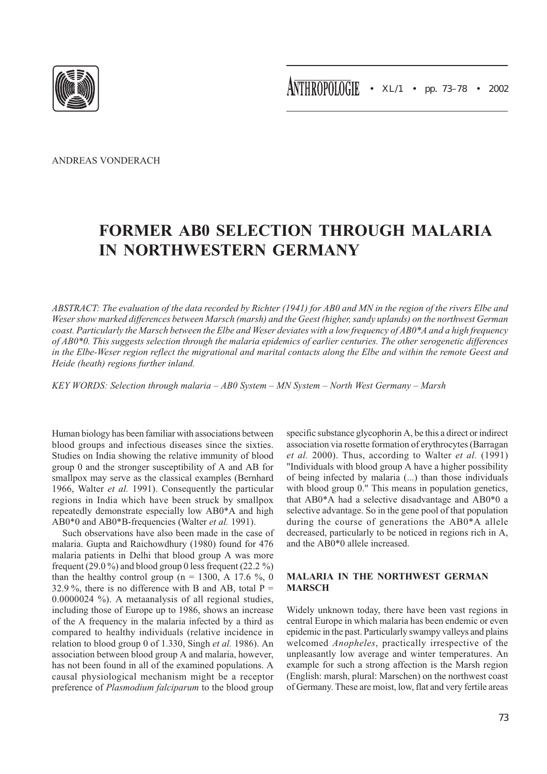ANDREAS VONDERACH

# FORMER AB0 SELECTION THROUGH MALARIA IN NORTHWESTERN GERMANY

ABSTRACT: The evaluation of the data recorded by Richter (1941) for AB0 and MN in the region of the rivers Elbe and Weser show marked differences between Marsch (marsh) and the Geest (higher, sandy uplands) on the northwest German coast. Particularly the Marsch between the Elbe and Weser deviates with a low frequency of AB0\*A and a high frequency of AB0\*0. This suggests selection through the malaria epidemics of earlier centuries. The other serogenetic differences in the Elbe-Weser region reflect the migrational and marital contacts along the Elbe and within the remote Geest and Heide (heath) regions further inland.

KEY WORDS: Selection through malaria – AB0 System – MN System – North West Germany – Marsh

Human biology has been familiar with associations between blood groups and infectious diseases since the sixties. Studies on India showing the relative immunity of blood group 0 and the stronger susceptibility of A and AB for smallpox may serve as the classical examples (Bernhard 1966, Walter et al. 1991). Consequently the particular regions in India which have been struck by smallpox repeatedly demonstrate especially low AB0\*A and high AB0\*0 and AB0\*B-frequencies (Walter et al. 1991).

Such observations have also been made in the case of malaria. Gupta and Raichowdhury (1980) found for 476 malaria patients in Delhi that blood group A was more frequent (29.0 %) and blood group 0 less frequent (22.2 %) than the healthy control group (n = 1300, A 17.6 %, 0 32.9 %, there is no difference with B and AB, total  $P =$ 0.0000024 %). A metaanalysis of all regional studies, including those of Europe up to 1986, shows an increase of the A frequency in the malaria infected by a third as compared to healthy individuals (relative incidence in relation to blood group 0 of 1.330, Singh et al. 1986). An association between blood group A and malaria, however, has not been found in all of the examined populations. A causal physiological mechanism might be a receptor preference of Plasmodium falciparum to the blood group

specific substance glycophorin A, be this a direct or indirect association via rosette formation of erythrocytes (Barragan et al. 2000). Thus, according to Walter et al. (1991) "Individuals with blood group A have a higher possibility of being infected by malaria (...) than those individuals with blood group 0." This means in population genetics, that AB0\*A had a selective disadvantage and AB0\*0 a selective advantage. So in the gene pool of that population during the course of generations the AB0\*A allele decreased, particularly to be noticed in regions rich in A, and the AB0\*0 allele increased.

# MALARIA IN THE NORTHWEST GERMAN **MARSCH**

Widely unknown today, there have been vast regions in central Europe in which malaria has been endemic or even epidemic in the past. Particularly swampy valleys and plains welcomed Anopheles, practically irrespective of the unpleasantly low average and winter temperatures. An example for such a strong affection is the Marsh region (English: marsh, plural: Marschen) on the northwest coast of Germany. These are moist, low, flat and very fertile areas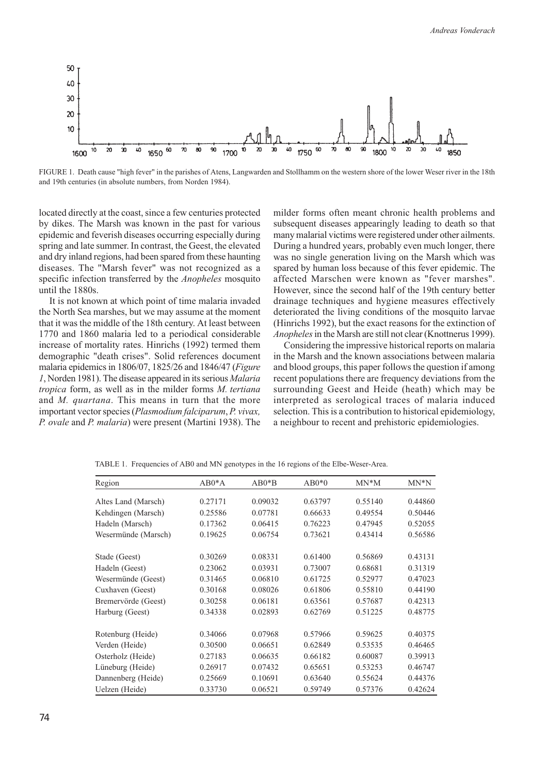

FIGURE 1. Death cause "high fever" in the parishes of Atens, Langwarden and Stollhamm on the western shore of the lower Weser river in the 18th and 19th centuries (in absolute numbers, from Norden 1984).

located directly at the coast, since a few centuries protected by dikes. The Marsh was known in the past for various epidemic and feverish diseases occurring especially during spring and late summer. In contrast, the Geest, the elevated and dry inland regions, had been spared from these haunting diseases. The "Marsh fever" was not recognized as a specific infection transferred by the *Anopheles* mosquito until the 1880s.

It is not known at which point of time malaria invaded the North Sea marshes, but we may assume at the moment that it was the middle of the 18th century. At least between 1770 and 1860 malaria led to a periodical considerable increase of mortality rates. Hinrichs (1992) termed them demographic "death crises". Solid references document malaria epidemics in 1806/07, 1825/26 and 1846/47 (Figure 1, Norden 1981). The disease appeared in its serious Malaria tropica form, as well as in the milder forms M. tertiana and *M. quartana*. This means in turn that the more important vector species (Plasmodium falciparum, P. vivax, P. ovale and P. malaria) were present (Martini 1938). The

milder forms often meant chronic health problems and subsequent diseases appearingly leading to death so that many malarial victims were registered under other ailments. During a hundred years, probably even much longer, there was no single generation living on the Marsh which was spared by human loss because of this fever epidemic. The affected Marschen were known as "fever marshes". However, since the second half of the 19th century better drainage techniques and hygiene measures effectively deteriorated the living conditions of the mosquito larvae (Hinrichs 1992), but the exact reasons for the extinction of Anopheles in the Marsh are still not clear (Knottnerus 1999).

Considering the impressive historical reports on malaria in the Marsh and the known associations between malaria and blood groups, this paper follows the question if among recent populations there are frequency deviations from the surrounding Geest and Heide (heath) which may be interpreted as serological traces of malaria induced selection. This is a contribution to historical epidemiology, a neighbour to recent and prehistoric epidemiologies.

| Region              | $AB0*A$ | $AB0*B$ | $AB0*0$ | $MN^*M$ | $MN^*N$ |
|---------------------|---------|---------|---------|---------|---------|
| Altes Land (Marsch) | 0.27171 | 0.09032 | 0.63797 | 0.55140 | 0.44860 |
| Kehdingen (Marsch)  | 0.25586 | 0.07781 | 0.66633 | 0.49554 | 0.50446 |
| Hadeln (Marsch)     | 0.17362 | 0.06415 | 0.76223 | 0.47945 | 0.52055 |
| Wesermünde (Marsch) | 0.19625 | 0.06754 | 0.73621 | 0.43414 | 0.56586 |
| Stade (Geest)       | 0.30269 | 0.08331 | 0.61400 | 0.56869 | 0.43131 |
| Hadeln (Geest)      | 0.23062 | 0.03931 | 0.73007 | 0.68681 | 0.31319 |
| Wesermünde (Geest)  | 0.31465 | 0.06810 | 0.61725 | 0.52977 | 0.47023 |
| Cuxhaven (Geest)    | 0.30168 | 0.08026 | 0.61806 | 0.55810 | 0.44190 |
| Bremervörde (Geest) | 0.30258 | 0.06181 | 0.63561 | 0.57687 | 0.42313 |
| Harburg (Geest)     | 0.34338 | 0.02893 | 0.62769 | 0.51225 | 0.48775 |
| Rotenburg (Heide)   | 0.34066 | 0.07968 | 0.57966 | 0.59625 | 0.40375 |
| Verden (Heide)      | 0.30500 | 0.06651 | 0.62849 | 0.53535 | 0.46465 |
| Osterholz (Heide)   | 0.27183 | 0.06635 | 0.66182 | 0.60087 | 0.39913 |
| Lüneburg (Heide)    | 0.26917 | 0.07432 | 0.65651 | 0.53253 | 0.46747 |
| Dannenberg (Heide)  | 0.25669 | 0.10691 | 0.63640 | 0.55624 | 0.44376 |
| Uelzen (Heide)      | 0.33730 | 0.06521 | 0.59749 | 0.57376 | 0.42624 |

TABLE 1. Frequencies of AB0 and MN genotypes in the 16 regions of the Elbe-Weser-Area.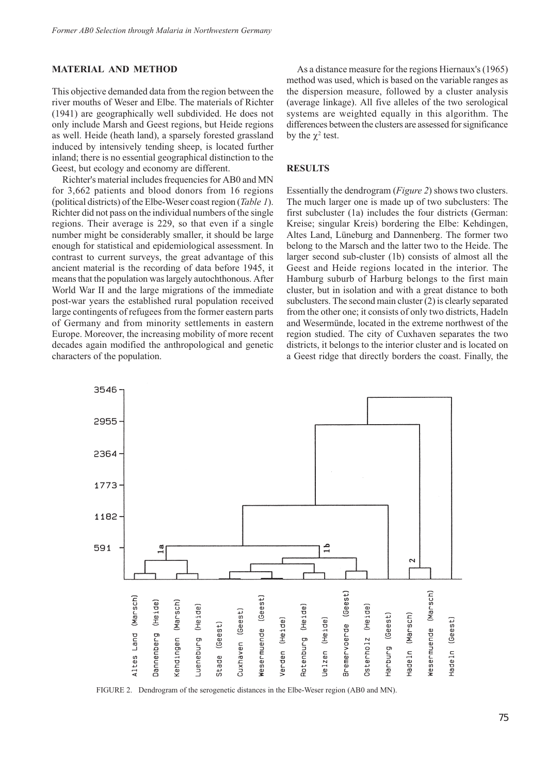#### MATERIAL AND METHOD

This objective demanded data from the region between the river mouths of Weser and Elbe. The materials of Richter (1941) are geographically well subdivided. He does not only include Marsh and Geest regions, but Heide regions as well. Heide (heath land), a sparsely forested grassland induced by intensively tending sheep, is located further inland; there is no essential geographical distinction to the Geest, but ecology and economy are different.

Richter's material includes frequencies for AB0 and MN for 3,662 patients and blood donors from 16 regions (political districts) of the Elbe-Weser coast region (Table 1). Richter did not pass on the individual numbers of the single regions. Their average is 229, so that even if a single number might be considerably smaller, it should be large enough for statistical and epidemiological assessment. In contrast to current surveys, the great advantage of this ancient material is the recording of data before 1945, it means that the population was largely autochthonous. After World War II and the large migrations of the immediate post-war years the established rural population received large contingents of refugees from the former eastern parts of Germany and from minority settlements in eastern Europe. Moreover, the increasing mobility of more recent decades again modified the anthropological and genetic characters of the population.

As a distance measure for the regions Hiernaux's (1965) method was used, which is based on the variable ranges as the dispersion measure, followed by a cluster analysis (average linkage). All five alleles of the two serological systems are weighted equally in this algorithm. The differences between the clusters are assessed for significance by the  $\chi^2$  test.

# **RESULTS**

Essentially the dendrogram (Figure 2) shows two clusters. The much larger one is made up of two subclusters: The first subcluster (1a) includes the four districts (German: Kreise; singular Kreis) bordering the Elbe: Kehdingen, Altes Land, Lüneburg and Dannenberg. The former two belong to the Marsch and the latter two to the Heide. The larger second sub-cluster (1b) consists of almost all the Geest and Heide regions located in the interior. The Hamburg suburb of Harburg belongs to the first main cluster, but in isolation and with a great distance to both subclusters. The second main cluster (2) is clearly separated from the other one; it consists of only two districts, Hadeln and Wesermünde, located in the extreme northwest of the region studied. The city of Cuxhaven separates the two districts, it belongs to the interior cluster and is located on a Geest ridge that directly borders the coast. Finally, the



FIGURE 2. Dendrogram of the serogenetic distances in the Elbe-Weser region (AB0 and MN).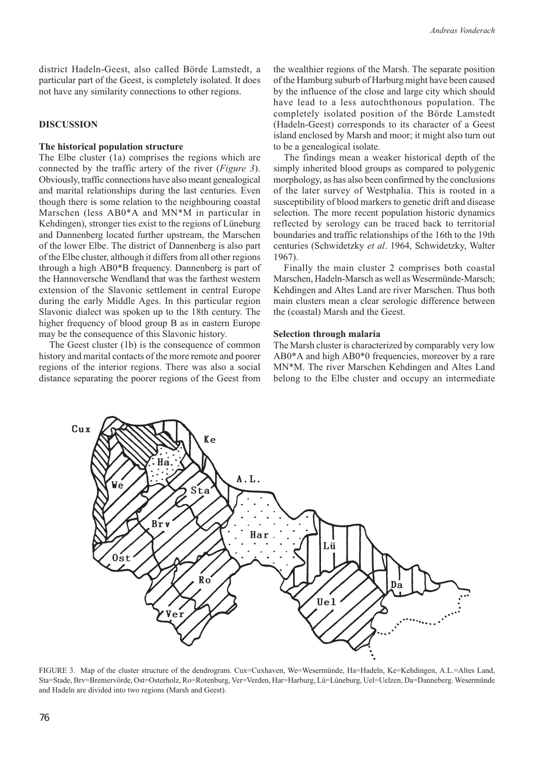district Hadeln-Geest, also called Börde Lamstedt, a particular part of the Geest, is completely isolated. It does not have any similarity connections to other regions.

## **DISCUSSION**

### The historical population structure

The Elbe cluster (1a) comprises the regions which are connected by the traffic artery of the river (Figure 3). Obviously, traffic connections have also meant genealogical and marital relationships during the last centuries. Even though there is some relation to the neighbouring coastal Marschen (less AB0\*A and MN\*M in particular in Kehdingen), stronger ties exist to the regions of Lüneburg and Dannenberg located further upstream, the Marschen of the lower Elbe. The district of Dannenberg is also part of the Elbe cluster, although it differs from all other regions through a high AB0\*B frequency. Dannenberg is part of the Hannoversche Wendland that was the farthest western extension of the Slavonic settlement in central Europe during the early Middle Ages. In this particular region Slavonic dialect was spoken up to the 18th century. The higher frequency of blood group B as in eastern Europe may be the consequence of this Slavonic history.

The Geest cluster (1b) is the consequence of common history and marital contacts of the more remote and poorer regions of the interior regions. There was also a social distance separating the poorer regions of the Geest from the wealthier regions of the Marsh. The separate position of the Hamburg suburb of Harburg might have been caused by the influence of the close and large city which should have lead to a less autochthonous population. The completely isolated position of the Börde Lamstedt (Hadeln-Geest) corresponds to its character of a Geest island enclosed by Marsh and moor; it might also turn out to be a genealogical isolate.

The findings mean a weaker historical depth of the simply inherited blood groups as compared to polygenic morphology, as has also been confirmed by the conclusions of the later survey of Westphalia. This is rooted in a susceptibility of blood markers to genetic drift and disease selection. The more recent population historic dynamics reflected by serology can be traced back to territorial boundaries and traffic relationships of the 16th to the 19th centuries (Schwidetzky et al. 1964, Schwidetzky, Walter 1967).

Finally the main cluster 2 comprises both coastal Marschen, Hadeln-Marsch as well as Wesermünde-Marsch; Kehdingen and Altes Land are river Marschen. Thus both main clusters mean a clear serologic difference between the (coastal) Marsh and the Geest.

#### Selection through malaria

The Marsh cluster is characterized by comparably very low AB0\*A and high AB0\*0 frequencies, moreover by a rare MN\*M. The river Marschen Kehdingen and Altes Land belong to the Elbe cluster and occupy an intermediate



FIGURE 3. Map of the cluster structure of the dendrogram. Cux=Cuxhaven, We=Wesermünde, Ha=Hadeln, Ke=Kehdingen, A.L.=Altes Land, Sta=Stade, Brv=Bremervörde, Ost=Osterholz, Ro=Rotenburg, Ver=Verden, Har=Harburg, Lü=Lüneburg, Uel=Uelzen, Da=Danneberg. Wesermünde and Hadeln are divided into two regions (Marsh and Geest).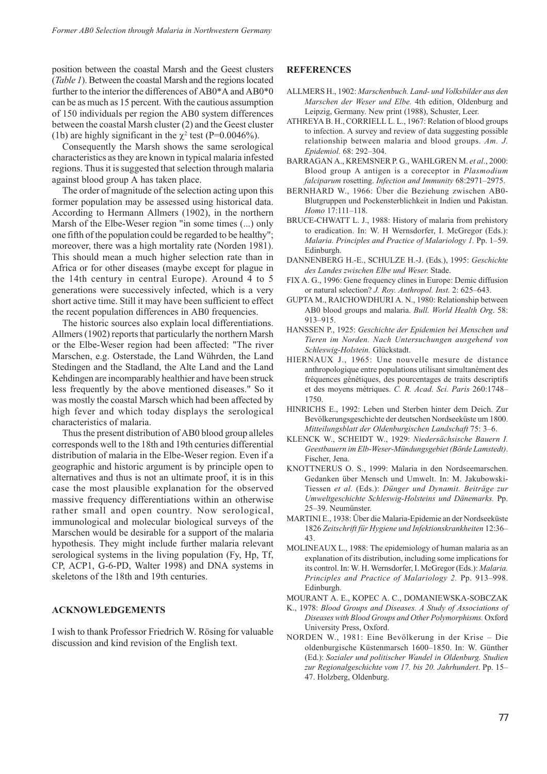position between the coastal Marsh and the Geest clusters (Table 1). Between the coastal Marsh and the regions located further to the interior the differences of AB0\*A and AB0\*0 can be as much as 15 percent. With the cautious assumption of 150 individuals per region the AB0 system differences between the coastal Marsh cluster (2) and the Geest cluster (1b) are highly significant in the  $\chi^2$  test (P=0.0046%).

Consequently the Marsh shows the same serological characteristics as they are known in typical malaria infested regions. Thus it is suggested that selection through malaria against blood group A has taken place.

The order of magnitude of the selection acting upon this former population may be assessed using historical data. According to Hermann Allmers (1902), in the northern Marsh of the Elbe-Weser region "in some times (...) only one fifth of the population could be regarded to be healthy"; moreover, there was a high mortality rate (Norden 1981). This should mean a much higher selection rate than in Africa or for other diseases (maybe except for plague in the 14th century in central Europe). Around 4 to 5 generations were successively infected, which is a very short active time. Still it may have been sufficient to effect the recent population differences in AB0 frequencies.

The historic sources also explain local differentiations. Allmers (1902) reports that particularly the northern Marsh or the Elbe-Weser region had been affected: "The river Marschen, e.g. Osterstade, the Land Wührden, the Land Stedingen and the Stadland, the Alte Land and the Land Kehdingen are incomparably healthier and have been struck less frequently by the above mentioned diseases." So it was mostly the coastal Marsch which had been affected by high fever and which today displays the serological characteristics of malaria.

Thus the present distribution of AB0 blood group alleles corresponds well to the 18th and 19th centuries differential distribution of malaria in the Elbe-Weser region. Even if a geographic and historic argument is by principle open to alternatives and thus is not an ultimate proof, it is in this case the most plausible explanation for the observed massive frequency differentiations within an otherwise rather small and open country. Now serological, immunological and molecular biological surveys of the Marschen would be desirable for a support of the malaria hypothesis. They might include further malaria relevant serological systems in the living population (Fy, Hp, Tf, CP, ACP1, G-6-PD, Walter 1998) and DNA systems in skeletons of the 18th and 19th centuries.

## ACKNOWLEDGEMENTS

I wish to thank Professor Friedrich W. Rösing for valuable discussion and kind revision of the English text.

#### **REFERENCES**

- ALLMERS H., 1902: Marschenbuch. Land- und Volksbilder aus den Marschen der Weser und Elbe. 4th edition, Oldenburg and Leipzig, Germany. New print (1988), Schuster, Leer.
- ATHREYA B. H., CORRIELL L. L., 1967: Relation of blood groups to infection. A survey and review of data suggesting possible relationship between malaria and blood groups. Am. J. Epidemiol. 68: 292–304.
- BARRAGAN A., KREMSNER P. G., WAHLGREN M. et al., 2000: Blood group A antigen is a coreceptor in Plasmodium falciparum rosetting. Infection and Immunity 68:2971–2975.
- BERNHARD W., 1966: Über die Beziehung zwischen AB0- Blutgruppen und Pockensterblichkeit in Indien und Pakistan. Homo 17:111–118.
- BRUCE-CHWATT L. J., 1988: History of malaria from prehistory to eradication. In: W. H Wernsdorfer, I. McGregor (Eds.): Malaria. Principles and Practice of Malariology 1. Pp. 1–59. Edinburgh.
- DANNENBERG H.-E., SCHULZE H.-J. (Eds.), 1995: Geschichte des Landes zwischen Elbe und Weser. Stade.
- FIX A. G., 1996: Gene frequency clines in Europe: Demic diffusion or natural selection? J. Roy. Anthropol. Inst. 2: 625–643.
- GUPTA M., RAICHOWDHURI A. N., 1980: Relationship between AB0 blood groups and malaria. Bull. World Health Org. 58: 913–915.
- HANSSEN P., 1925: Geschichte der Epidemien bei Menschen und Tieren im Norden. Nach Untersuchungen ausgehend von Schleswig-Holstein. Glückstadt.
- HIERNAUX J., 1965: Une nouvelle mesure de distance anthropologique entre populations utilisant simultanément des fréquences génétiques, des pourcentages de traits descriptifs et des moyens métriques. C. R. Acad. Sci. Paris 260:1748– 1750.
- HINRICHS E., 1992: Leben und Sterben hinter dem Deich. Zur Bevölkerungsgeschichte der deutschen Nordseeküste um 1800. Mitteilungsblatt der Oldenburgischen Landschaft 75: 3–6.
- KLENCK W., SCHEIDT W., 1929: Niedersächsische Bauern I. Geestbauern im Elb-Weser-Mündungsgebiet (Börde Lamstedt). Fischer, Jena.
- KNOTTNERUS O. S., 1999: Malaria in den Nordseemarschen. Gedanken über Mensch und Umwelt. In: M. Jakubowski-Tiessen et al. (Eds.): Dünger und Dynamit. Beiträge zur Umweltgeschichte Schleswig-Holsteins und Dänemarks. Pp. 25–39. Neumünster.
- MARTINI E., 1938: Über die Malaria-Epidemie an der Nordseeküste 1826 Zeitschrift für Hygiene und Infektionskrankheiten 12:36– 43.
- MOLINEAUX L., 1988: The epidemiology of human malaria as an explanation of its distribution, including some implications for its control. In: W. H. Wernsdorfer, I. McGregor (Eds.): Malaria. Principles and Practice of Malariology 2. Pp. 913–998. Edinburgh.
- MOURANT A. E., KOPEC A. C., DOMANIEWSKA-SOBCZAK
- K., 1978: Blood Groups and Diseases. A Study of Associations of Diseases with Blood Groups and Other Polymorphisms. Oxford University Press, Oxford.
- NORDEN W., 1981: Eine Bevölkerung in der Krise Die oldenburgische Küstenmarsch 1600–1850. In: W. Günther (Ed.): Sozialer und politischer Wandel in Oldenburg. Studien zur Regionalgeschichte vom 17. bis 20. Jahrhundert. Pp. 15– 47. Holzberg, Oldenburg.